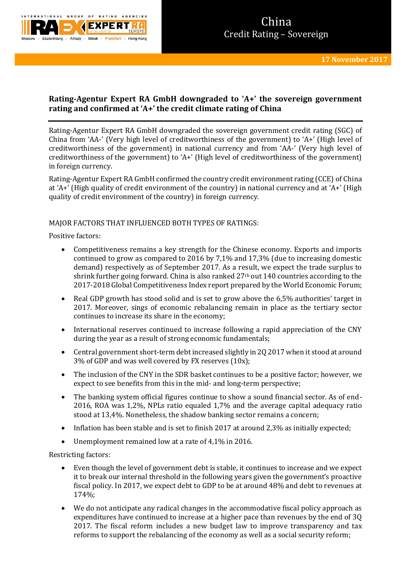

# **Rating-Agentur Expert RA GmbH downgraded to 'A+' the sovereign government rating and confirmed at 'A+' the credit climate rating of China**

Rating-Agentur Expert RA GmbH downgraded the sovereign government credit rating (SGC) of China from 'AA-' (Very high level of creditworthiness of the government) to 'A+' (High level of creditworthiness of the government) in national currency and from 'AA-' (Very high level of creditworthiness of the government) to 'A+' (High level of creditworthiness of the government) in foreign currency.

Rating-Agentur Expert RA GmbH confirmed the country credit environment rating (CCE) of China at 'A+' (High quality of credit environment of the country) in national currency and at 'A+' (High quality of credit environment of the country) in foreign currency.

## MAJOR FACTORS THAT INFLUENCED BOTH TYPES OF RATINGS:

Positive factors:

- Competitiveness remains a key strength for the Chinese economy. Exports and imports continued to grow as compared to 2016 by 7,1% and 17,3% (due to increasing domestic demand) respectively as of September 2017. As a result, we expect the trade surplus to shrink further going forward. China is also ranked  $27<sup>th</sup>$  out  $140$  countries according to the 2017-2018 Global Competitiveness Index report prepared by the World Economic Forum;
- Real GDP growth has stood solid and is set to grow above the 6,5% authorities' target in 2017. Moreover, sings of economic rebalancing remain in place as the tertiary sector continues to increase its share in the economy;
- International reserves continued to increase following a rapid appreciation of the CNY during the year as a result of strong economic fundamentals;
- Central government short-term debt increased slightly in 2Q 2017 when it stood at around 3% of GDP and was well covered by FX reserves (10x);
- The inclusion of the CNY in the SDR basket continues to be a positive factor; however, we expect to see benefits from this in the mid- and long-term perspective;
- The banking system official figures continue to show a sound financial sector. As of end-2016, ROA was 1,2%, NPLs ratio equaled 1,7% and the average capital adequacy ratio stood at 13,4%. Nonetheless, the shadow banking sector remains a concern;
- Inflation has been stable and is set to finish 2017 at around 2.3% as initially expected;
- Unemployment remained low at a rate of 4,1% in 2016.

Restricting factors:

- Even though the level of government debt is stable, it continues to increase and we expect it to break our internal threshold in the following years given the government's proactive fiscal policy. In 2017, we expect debt to GDP to be at around 48% and debt to revenues at 174%;
- We do not anticipate any radical changes in the accommodative fiscal policy approach as expenditures have continued to increase at a higher pace than revenues by the end of 3Q 2017. The fiscal reform includes a new budget law to improve transparency and tax reforms to support the rebalancing of the economy as well as a social security reform;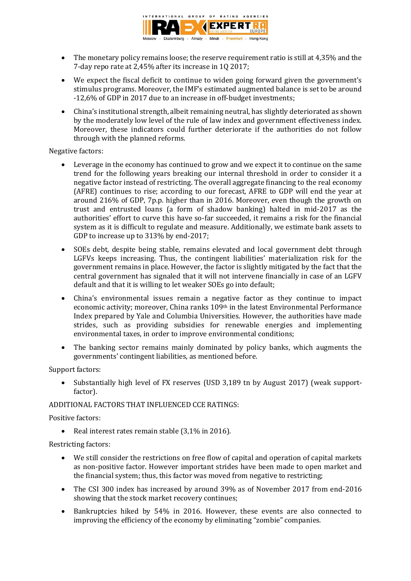

- The monetary policy remains loose; the reserve requirement ratio is still at 4,35% and the 7-day repo rate at 2,45% after its increase in 1Q 2017;
- We expect the fiscal deficit to continue to widen going forward given the government's stimulus programs. Moreover, the IMF's estimated augmented balance is set to be around -12,6% of GDP in 2017 due to an increase in off-budget investments;
- China's institutional strength, albeit remaining neutral, has slightly deteriorated as shown by the moderately low level of the rule of law index and government effectiveness index. Moreover, these indicators could further deteriorate if the authorities do not follow through with the planned reforms.

Negative factors:

- Leverage in the economy has continued to grow and we expect it to continue on the same trend for the following years breaking our internal threshold in order to consider it a negative factor instead of restricting. The overall aggregate financing to the real economy (AFRE) continues to rise; according to our forecast, AFRE to GDP will end the year at around 216% of GDP, 7p.p. higher than in 2016. Moreover, even though the growth on trust and entrusted loans (a form of shadow banking) halted in mid-2017 as the authorities' effort to curve this have so-far succeeded, it remains a risk for the financial system as it is difficult to regulate and measure. Additionally, we estimate bank assets to GDP to increase up to 313% by end-2017;
- SOEs debt, despite being stable, remains elevated and local government debt through LGFVs keeps increasing. Thus, the contingent liabilities' materialization risk for the government remains in place. However, the factor is slightly mitigated by the fact that the central government has signaled that it will not intervene financially in case of an LGFV default and that it is willing to let weaker SOEs go into default;
- China's environmental issues remain a negative factor as they continue to impact economic activity; moreover, China ranks 109<sup>th</sup> in the latest Environmental Performance Index prepared by Yale and Columbia Universities. However, the authorities have made strides, such as providing subsidies for renewable energies and implementing environmental taxes, in order to improve environmental conditions;
- The banking sector remains mainly dominated by policy banks, which augments the governments' contingent liabilities, as mentioned before.

Support factors:

• Substantially high level of FX reserves (USD 3,189 tn by August 2017) (weak supportfactor).

## ADDITIONAL FACTORS THAT INFLUENCED CCE RATINGS:

Positive factors:

• Real interest rates remain stable (3,1% in 2016).

Restricting factors:

- We still consider the restrictions on free flow of capital and operation of capital markets as non-positive factor. However important strides have been made to open market and the financial system; thus, this factor was moved from negative to restricting;
- The CSI 300 index has increased by around 39% as of November 2017 from end-2016 showing that the stock market recovery continues;
- Bankruptcies hiked by 54% in 2016. However, these events are also connected to improving the efficiency of the economy by eliminating "zombie" companies.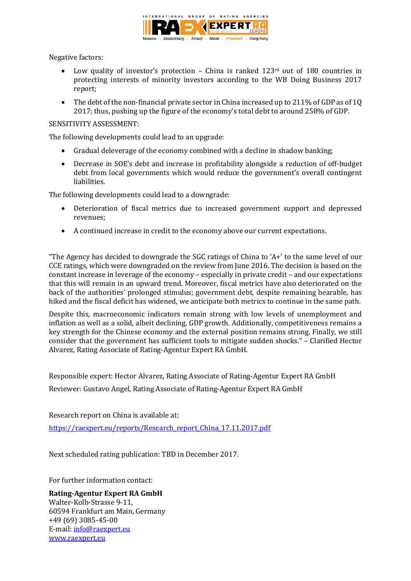

Negative factors:

- Low quality of investor's protection China is ranked 123<sup>rd</sup> out of 180 countries in protecting interests of minority investors according to the WB Doing Business 2017 report;
- The debt of the non-financial private sector in China increased up to 211% of GDP as of 1Q 2017; thus, pushing up the figure of the economy's total debt to around 258% of GDP.

### SENSITIVITY ASSESSMENT:

The following developments could lead to an upgrade:

- Gradual deleverage of the economy combined with a decline in shadow banking;
- Decrease in SOE's debt and increase in profitability alongside a reduction of off-budget debt from local governments which would reduce the government's overall contingent liabilities.

The following developments could lead to a downgrade:

- Deterioration of fiscal metrics due to increased government support and depressed revenues;
- A continued increase in credit to the economy above our current expectations.

"The Agency has decided to downgrade the SGC ratings of China to 'A+' to the same level of our CCE ratings, which were downgraded on the review from June 2016. The decision is based on the constant increase in leverage of the economy – especially in private credit – and our expectations that this will remain in an upward trend. Moreover, fiscal metrics have also deteriorated on the back of the authorities' prolonged stimulus; government debt, despite remaining bearable, has hiked and the fiscal deficit has widened, we anticipate both metrics to continue in the same path.

Despite this, macroeconomic indicators remain strong with low levels of unemployment and inflation as well as a solid, albeit declining, GDP growth. Additionally, competitiveness remains a key strength for the Chinese economy and the external position remains strong. Finally, we still consider that the government has sufficient tools to mitigate sudden shocks." – Clarified Hector Alvarez, Rating Associate of Rating-Agentur Expert RA GmbH.

Responsible expert: Hector Alvarez, Rating Associate of Rating-Agentur Expert RA GmbH

Reviewer: Gustavo Angel, Rating Associate of Rating-Agentur Expert RA GmbH

Research report on China is available at:

[https://raexpert.eu/reports/Research\\_report\\_China\\_17.11.2017.pdf](https://raexpert.eu/reports/Research_report_China_17.11.2017.pdf)

Next scheduled rating publication: TBD in December 2017.

For further information contact:

## **Rating-Agentur Expert RA GmbH**

Walter-Kolb-Strasse 9-11, 60594 Frankfurt am Main, Germany +49 (69) 3085-45-00 E-mail[: info@raexpert.eu](mailto:info@raexpert.eu) [www.raexpert.eu](http://raexpert.eu/)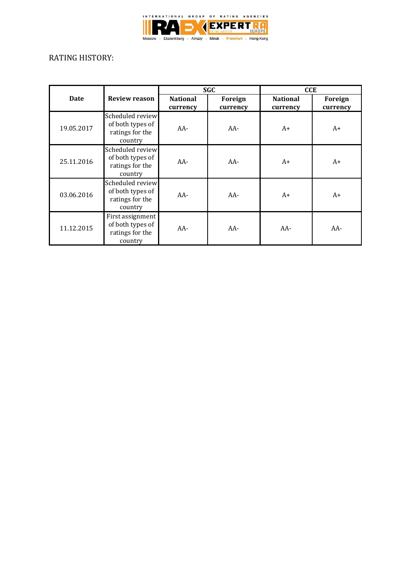

## RATING HISTORY:

|            |                                                                    | <b>SGC</b>                  |                     | <b>CCE</b>                  |                     |
|------------|--------------------------------------------------------------------|-----------------------------|---------------------|-----------------------------|---------------------|
| Date       | <b>Review reason</b>                                               | <b>National</b><br>currency | Foreign<br>currency | <b>National</b><br>currency | Foreign<br>currency |
| 19.05.2017 | Scheduled review<br>of both types of<br>ratings for the<br>country | $AA-$                       | $AA-$               | $A+$                        | $A+$                |
| 25.11.2016 | Scheduled review<br>of both types of<br>ratings for the<br>country | $AA-$                       | $AA-$               | $A+$                        | $A+$                |
| 03.06.2016 | Scheduled review<br>of both types of<br>ratings for the<br>country | $AA-$                       | $AA-$               | $A+$                        | $A+$                |
| 11.12.2015 | First assignment<br>of both types of<br>ratings for the<br>country | $AA-$                       | $AA-$               | $AA-$                       | $AA-$               |